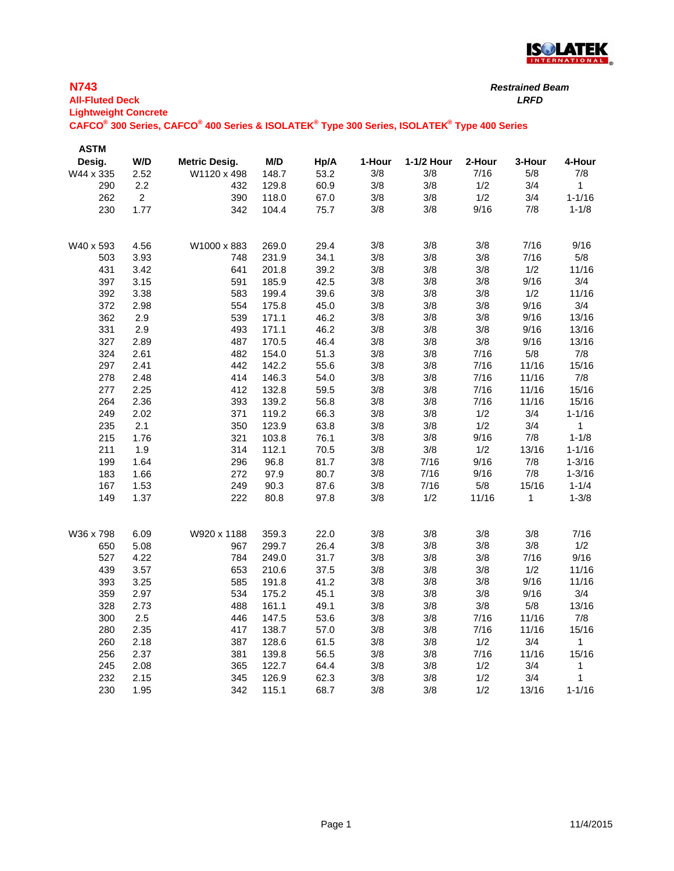

| <b>N743</b><br><b>All-Fluted Deck</b><br><b>Lightweight Concrete</b> |                |                                                                                             |       |      |        | <b>Restrained Beam</b><br><b>LRFD</b> |        |        |              |
|----------------------------------------------------------------------|----------------|---------------------------------------------------------------------------------------------|-------|------|--------|---------------------------------------|--------|--------|--------------|
|                                                                      |                | CAFCO® 300 Series, CAFCO® 400 Series & ISOLATEK® Type 300 Series, ISOLATEK® Type 400 Series |       |      |        |                                       |        |        |              |
| <b>ASTM</b>                                                          |                |                                                                                             |       |      |        |                                       |        |        |              |
| Desig.                                                               | W/D            | <b>Metric Desig.</b>                                                                        | M/D   | Hp/A | 1-Hour | 1-1/2 Hour                            | 2-Hour | 3-Hour | 4-Hour       |
| W44 x 335                                                            | 2.52           | W1120 x 498                                                                                 | 148.7 | 53.2 | 3/8    | 3/8                                   | 7/16   | 5/8    | 7/8          |
| 290                                                                  | 2.2            | 432                                                                                         | 129.8 | 60.9 | 3/8    | 3/8                                   | 1/2    | 3/4    | 1            |
| 262                                                                  | $\overline{2}$ | 390                                                                                         | 118.0 | 67.0 | 3/8    | 3/8                                   | 1/2    | 3/4    | $1 - 1/16$   |
| 230                                                                  | 1.77           | 342                                                                                         | 104.4 | 75.7 | 3/8    | 3/8                                   | 9/16   | 7/8    | $1 - 1/8$    |
| W40 x 593                                                            | 4.56           | W1000 x 883                                                                                 | 269.0 | 29.4 | 3/8    | 3/8                                   | 3/8    | 7/16   | 9/16         |
| 503                                                                  | 3.93           | 748                                                                                         | 231.9 | 34.1 | 3/8    | 3/8                                   | 3/8    | 7/16   | 5/8          |
| 431                                                                  | 3.42           | 641                                                                                         | 201.8 | 39.2 | 3/8    | 3/8                                   | 3/8    | 1/2    | 11/16        |
| 397                                                                  | 3.15           | 591                                                                                         | 185.9 | 42.5 | 3/8    | 3/8                                   | 3/8    | 9/16   | 3/4          |
| 392                                                                  | 3.38           | 583                                                                                         | 199.4 | 39.6 | 3/8    | 3/8                                   | 3/8    | 1/2    | 11/16        |
| 372                                                                  | 2.98           | 554                                                                                         | 175.8 | 45.0 | 3/8    | 3/8                                   | 3/8    | 9/16   | 3/4          |
| 362                                                                  | 2.9            | 539                                                                                         | 171.1 | 46.2 | 3/8    | 3/8                                   | 3/8    | 9/16   | 13/16        |
| 331                                                                  | 2.9            | 493                                                                                         | 171.1 | 46.2 | 3/8    | 3/8                                   | 3/8    | 9/16   | 13/16        |
| 327                                                                  | 2.89           | 487                                                                                         | 170.5 | 46.4 | 3/8    | 3/8                                   | 3/8    | 9/16   | 13/16        |
| 324                                                                  | 2.61           | 482                                                                                         | 154.0 | 51.3 | 3/8    | 3/8                                   | 7/16   | 5/8    | 7/8          |
| 297                                                                  | 2.41           | 442                                                                                         | 142.2 | 55.6 | 3/8    | 3/8                                   | 7/16   | 11/16  | 15/16        |
| 278                                                                  | 2.48           | 414                                                                                         | 146.3 | 54.0 | 3/8    | 3/8                                   | 7/16   | 11/16  | 7/8          |
| 277                                                                  | 2.25           | 412                                                                                         | 132.8 | 59.5 | 3/8    | 3/8                                   | 7/16   | 11/16  | 15/16        |
| 264                                                                  | 2.36           | 393                                                                                         | 139.2 | 56.8 | 3/8    | 3/8                                   | 7/16   | 11/16  | 15/16        |
| 249                                                                  | 2.02           | 371                                                                                         | 119.2 | 66.3 | 3/8    | 3/8                                   | 1/2    | 3/4    | $1 - 1/16$   |
| 235                                                                  | 2.1            | 350                                                                                         | 123.9 | 63.8 | 3/8    | 3/8                                   | 1/2    | 3/4    | $\mathbf{1}$ |
| 215                                                                  | 1.76           | 321                                                                                         | 103.8 | 76.1 | 3/8    | 3/8                                   | 9/16   | 7/8    | $1 - 1/8$    |
| 211                                                                  | 1.9            | 314                                                                                         | 112.1 | 70.5 | 3/8    | 3/8                                   | 1/2    | 13/16  | $1 - 1/16$   |
| 199                                                                  | 1.64           | 296                                                                                         | 96.8  | 81.7 | 3/8    | 7/16                                  | 9/16   | 7/8    | $1 - 3/16$   |
| 183                                                                  | 1.66           | 272                                                                                         | 97.9  | 80.7 | 3/8    | 7/16                                  | 9/16   | 7/8    | $1 - 3/16$   |
| 167                                                                  | 1.53           | 249                                                                                         | 90.3  | 87.6 | 3/8    | 7/16                                  | 5/8    | 15/16  | $1 - 1/4$    |
| 149                                                                  | 1.37           | 222                                                                                         | 80.8  | 97.8 | 3/8    | 1/2                                   | 11/16  | 1      | $1 - 3/8$    |
| W36 x 798                                                            | 6.09           | W920 x 1188                                                                                 | 359.3 | 22.0 | 3/8    | 3/8                                   | 3/8    | 3/8    | 7/16         |
| 650                                                                  | 5.08           | 967                                                                                         | 299.7 | 26.4 | 3/8    | 3/8                                   | 3/8    | 3/8    | 1/2          |
| 527                                                                  | 4.22           | 784                                                                                         | 249.0 | 31.7 | 3/8    | 3/8                                   | 3/8    | 7/16   | 9/16         |
| 439                                                                  | 3.57           | 653                                                                                         | 210.6 | 37.5 | 3/8    | 3/8                                   | 3/8    | 1/2    | 11/16        |
| 393                                                                  | 3.25           | 585                                                                                         | 191.8 | 41.2 | 3/8    | 3/8                                   | 3/8    | 9/16   | 11/16        |
| 359                                                                  | 2.97           | 534                                                                                         | 175.2 | 45.1 | 3/8    | 3/8                                   | 3/8    | 9/16   | 3/4          |
| 328                                                                  | 2.73           | 488                                                                                         | 161.1 | 49.1 | 3/8    | $3/8$                                 | 3/8    | 5/8    | 13/16        |
| 300                                                                  | 2.5            | 446                                                                                         | 147.5 | 53.6 | 3/8    | 3/8                                   | 7/16   | 11/16  | 7/8          |
| 280                                                                  | 2.35           | 417                                                                                         | 138.7 | 57.0 | 3/8    | 3/8                                   | 7/16   | 11/16  | 15/16        |
| 260                                                                  | 2.18           | 387                                                                                         | 128.6 | 61.5 | 3/8    | 3/8                                   | 1/2    | 3/4    | 1            |
| 256                                                                  | 2.37           | 381                                                                                         | 139.8 | 56.5 | 3/8    | 3/8                                   | 7/16   | 11/16  | 15/16        |
| 245                                                                  | 2.08           | 365                                                                                         | 122.7 | 64.4 | 3/8    | 3/8                                   | 1/2    | 3/4    | $\mathbf{1}$ |
| 232                                                                  | 2.15           | 345                                                                                         | 126.9 | 62.3 | 3/8    | 3/8                                   | 1/2    | 3/4    | $\mathbf{1}$ |
| 230                                                                  | 1.95           | 342                                                                                         | 115.1 | 68.7 | 3/8    | 3/8                                   | 1/2    | 13/16  | $1 - 1/16$   |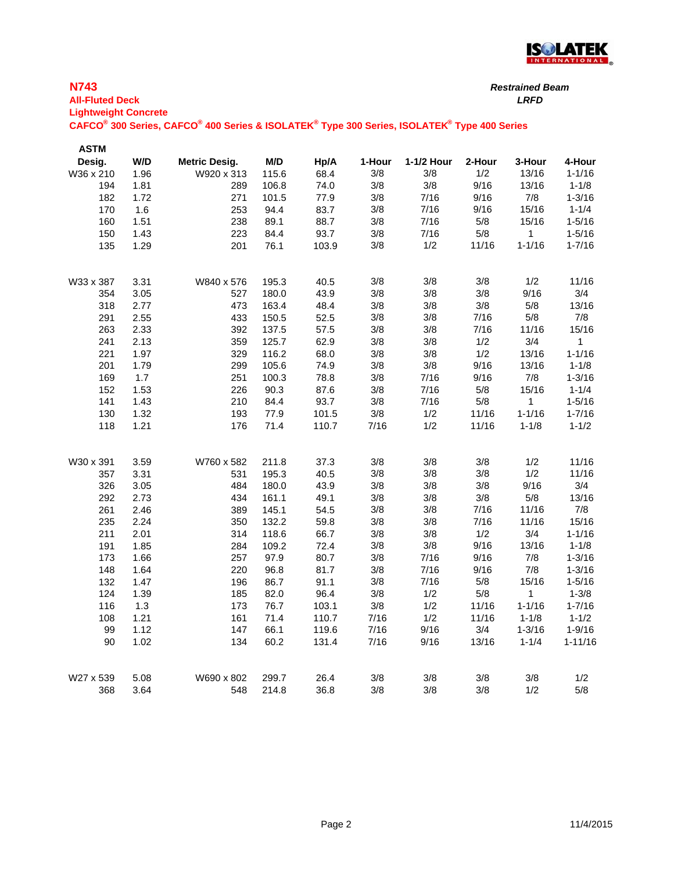

*Restrained Beam*

| <b>All-Fluted Deck</b>      |      |                                                                                             |       |       |        |            |        | <b>LRFD</b> |             |
|-----------------------------|------|---------------------------------------------------------------------------------------------|-------|-------|--------|------------|--------|-------------|-------------|
| <b>Lightweight Concrete</b> |      | CAFCO® 300 Series, CAFCO® 400 Series & ISOLATEK® Type 300 Series, ISOLATEK® Type 400 Series |       |       |        |            |        |             |             |
|                             |      |                                                                                             |       |       |        |            |        |             |             |
| <b>ASTM</b>                 |      |                                                                                             |       |       |        |            |        |             |             |
| Desig.                      | W/D  | Metric Desig.                                                                               | M/D   | Hp/A  | 1-Hour | 1-1/2 Hour | 2-Hour | 3-Hour      | 4-Hour      |
| W36 x 210                   | 1.96 | W920 x 313                                                                                  | 115.6 | 68.4  | 3/8    | 3/8        | 1/2    | 13/16       | $1 - 1/16$  |
| 194                         | 1.81 | 289                                                                                         | 106.8 | 74.0  | 3/8    | 3/8        | 9/16   | 13/16       | $1 - 1/8$   |
| 182                         | 1.72 | 271                                                                                         | 101.5 | 77.9  | 3/8    | 7/16       | 9/16   | 7/8         | $1 - 3/16$  |
| 170                         | 1.6  | 253                                                                                         | 94.4  | 83.7  | 3/8    | 7/16       | 9/16   | 15/16       | $1 - 1/4$   |
| 160                         | 1.51 | 238                                                                                         | 89.1  | 88.7  | 3/8    | 7/16       | $5/8$  | 15/16       | $1 - 5/16$  |
| 150                         | 1.43 | 223                                                                                         | 84.4  | 93.7  | 3/8    | 7/16       | $5/8$  | 1           | $1 - 5/16$  |
| 135                         | 1.29 | 201                                                                                         | 76.1  | 103.9 | 3/8    | 1/2        | 11/16  | $1 - 1/16$  | $1 - 7/16$  |
| W33 x 387                   | 3.31 | W840 x 576                                                                                  | 195.3 | 40.5  | 3/8    | 3/8        | 3/8    | 1/2         | 11/16       |
| 354                         | 3.05 | 527                                                                                         | 180.0 | 43.9  | 3/8    | 3/8        | 3/8    | 9/16        | 3/4         |
| 318                         | 2.77 | 473                                                                                         | 163.4 | 48.4  | 3/8    | 3/8        | 3/8    | 5/8         | 13/16       |
| 291                         | 2.55 | 433                                                                                         | 150.5 | 52.5  | 3/8    | $3/8$      | 7/16   | $5/8$       | 7/8         |
| 263                         | 2.33 | 392                                                                                         | 137.5 | 57.5  | 3/8    | 3/8        | 7/16   | 11/16       | 15/16       |
| 241                         | 2.13 | 359                                                                                         | 125.7 | 62.9  | 3/8    | $3/8$      | 1/2    | 3/4         | 1           |
| 221                         | 1.97 | 329                                                                                         | 116.2 | 68.0  | 3/8    | 3/8        | 1/2    | 13/16       | $1 - 1/16$  |
| 201                         | 1.79 | 299                                                                                         | 105.6 | 74.9  | 3/8    | 3/8        | 9/16   | 13/16       | $1 - 1/8$   |
| 169                         | 1.7  | 251                                                                                         | 100.3 | 78.8  | 3/8    | 7/16       | 9/16   | $7/8$       | $1 - 3/16$  |
| 152                         | 1.53 | 226                                                                                         | 90.3  | 87.6  | 3/8    | 7/16       | $5/8$  | 15/16       | $1 - 1/4$   |
| 141                         | 1.43 | 210                                                                                         | 84.4  | 93.7  | 3/8    | 7/16       | 5/8    | 1           | $1 - 5/16$  |
| 130                         | 1.32 | 193                                                                                         | 77.9  | 101.5 | $3/8$  | 1/2        | 11/16  | $1 - 1/16$  | $1 - 7/16$  |
| 118                         | 1.21 | 176                                                                                         | 71.4  | 110.7 | 7/16   | 1/2        | 11/16  | $1 - 1/8$   | $1 - 1/2$   |
| W30 x 391                   | 3.59 | W760 x 582                                                                                  | 211.8 | 37.3  | 3/8    | 3/8        | 3/8    | 1/2         | 11/16       |
| 357                         | 3.31 | 531                                                                                         | 195.3 | 40.5  | 3/8    | 3/8        | 3/8    | 1/2         | 11/16       |
| 326                         | 3.05 | 484                                                                                         | 180.0 | 43.9  | 3/8    | 3/8        | 3/8    | 9/16        | 3/4         |
| 292                         | 2.73 | 434                                                                                         | 161.1 | 49.1  | 3/8    | 3/8        | 3/8    | $5/8$       | 13/16       |
| 261                         | 2.46 | 389                                                                                         | 145.1 | 54.5  | 3/8    | 3/8        | 7/16   | 11/16       | 7/8         |
| 235                         | 2.24 | 350                                                                                         | 132.2 | 59.8  | 3/8    | 3/8        | 7/16   | 11/16       | 15/16       |
| 211                         | 2.01 | 314                                                                                         | 118.6 | 66.7  | 3/8    | 3/8        | 1/2    | 3/4         | $1 - 1/16$  |
| 191                         | 1.85 | 284                                                                                         | 109.2 | 72.4  | 3/8    | 3/8        | 9/16   | 13/16       | $1 - 1/8$   |
| 173                         | 1.66 | 257                                                                                         | 97.9  | 80.7  | 3/8    | 7/16       | 9/16   | 7/8         | $1 - 3/16$  |
| 148                         | 1.64 | 220                                                                                         | 96.8  | 81.7  | 3/8    | 7/16       | 9/16   | 7/8         | $1 - 3/16$  |
| 132                         | 1.47 | 196                                                                                         | 86.7  | 91.1  | 3/8    | 7/16       | 5/8    | 15/16       | $1 - 5/16$  |
| 124                         | 1.39 | 185                                                                                         | 82.0  | 96.4  | 3/8    | 1/2        | 5/8    | 1           | $1 - 3/8$   |
| 116                         | 1.3  | 173                                                                                         | 76.7  | 103.1 | 3/8    | 1/2        | 11/16  | $1 - 1/16$  | $1 - 7/16$  |
| 108                         | 1.21 | 161                                                                                         | 71.4  | 110.7 | 7/16   | 1/2        | 11/16  | $1 - 1/8$   | $1 - 1/2$   |
| 99                          | 1.12 | 147                                                                                         | 66.1  | 119.6 | 7/16   | 9/16       | 3/4    | $1 - 3/16$  | $1 - 9/16$  |
| 90                          | 1.02 | 134                                                                                         | 60.2  | 131.4 | 7/16   | 9/16       | 13/16  | $1 - 1/4$   | $1 - 11/16$ |
| W27 x 539                   | 5.08 | W690 x 802                                                                                  | 299.7 | 26.4  | 3/8    | 3/8        | 3/8    | 3/8         | 1/2         |
| 368                         | 3.64 | 548                                                                                         | 214.8 | 36.8  | 3/8    | 3/8        | 3/8    | 1/2         | $5/8$       |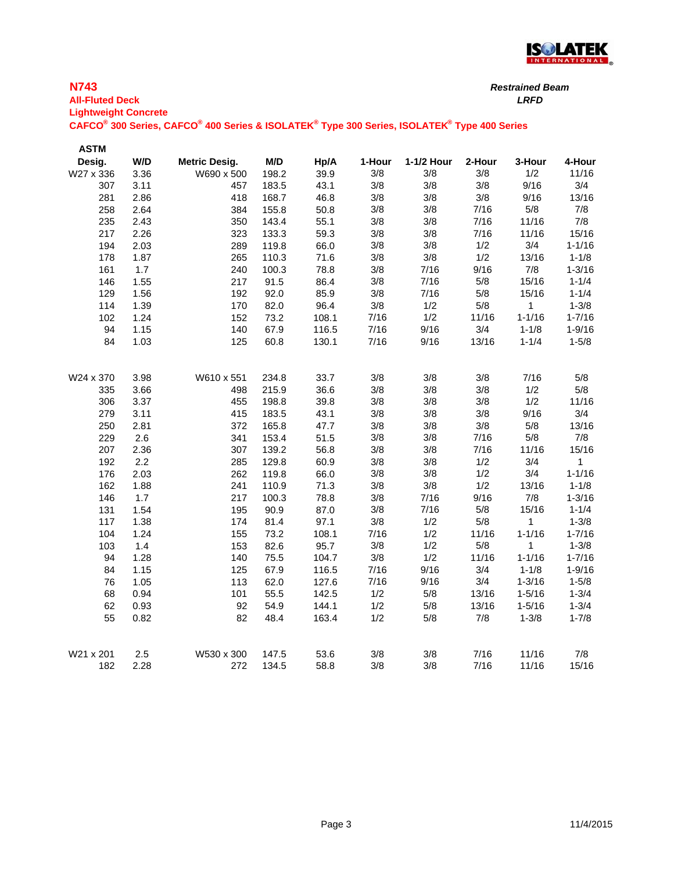

| <b>All-Fluted Deck</b><br><b>Lightweight Concrete</b> |      |                                                                                             |       |       |        |            |        | <b>LRFD</b>  |            |
|-------------------------------------------------------|------|---------------------------------------------------------------------------------------------|-------|-------|--------|------------|--------|--------------|------------|
|                                                       |      | CAFCO® 300 Series, CAFCO® 400 Series & ISOLATEK® Type 300 Series, ISOLATEK® Type 400 Series |       |       |        |            |        |              |            |
| <b>ASTM</b>                                           |      |                                                                                             |       |       |        |            |        |              |            |
| Desig.                                                | W/D  | <b>Metric Desig.</b>                                                                        | M/D   | Hp/A  | 1-Hour | 1-1/2 Hour | 2-Hour | 3-Hour       | 4-Hour     |
| W27 x 336                                             | 3.36 | W690 x 500                                                                                  | 198.2 | 39.9  | 3/8    | 3/8        | 3/8    | 1/2          | 11/16      |
| 307                                                   | 3.11 | 457                                                                                         | 183.5 | 43.1  | 3/8    | 3/8        | 3/8    | 9/16         | 3/4        |
| 281                                                   | 2.86 | 418                                                                                         | 168.7 | 46.8  | 3/8    | 3/8        | 3/8    | 9/16         | 13/16      |
| 258                                                   | 2.64 | 384                                                                                         | 155.8 | 50.8  | 3/8    | 3/8        | 7/16   | 5/8          | 7/8        |
| 235                                                   | 2.43 | 350                                                                                         | 143.4 | 55.1  | 3/8    | 3/8        | 7/16   | 11/16        | 7/8        |
| 217                                                   | 2.26 | 323                                                                                         | 133.3 | 59.3  | 3/8    | $3/8$      | 7/16   | 11/16        | 15/16      |
| 194                                                   | 2.03 | 289                                                                                         | 119.8 | 66.0  | 3/8    | $3/8$      | 1/2    | 3/4          | $1 - 1/16$ |
| 178                                                   | 1.87 | 265                                                                                         | 110.3 | 71.6  | 3/8    | $3/8$      | 1/2    | 13/16        | $1 - 1/8$  |
| 161                                                   | 1.7  | 240                                                                                         | 100.3 | 78.8  | 3/8    | 7/16       | 9/16   | 7/8          | $1 - 3/16$ |
| 146                                                   | 1.55 | 217                                                                                         | 91.5  | 86.4  | 3/8    | 7/16       | 5/8    | 15/16        | $1 - 1/4$  |
| 129                                                   | 1.56 | 192                                                                                         | 92.0  | 85.9  | 3/8    | 7/16       | 5/8    | 15/16        | $1 - 1/4$  |
| 114                                                   | 1.39 | 170                                                                                         | 82.0  | 96.4  | 3/8    | 1/2        | $5/8$  | $\mathbf{1}$ | $1 - 3/8$  |
| 102                                                   | 1.24 | 152                                                                                         | 73.2  | 108.1 | 7/16   | 1/2        | 11/16  | $1 - 1/16$   | $1 - 7/16$ |
| 94                                                    | 1.15 | 140                                                                                         | 67.9  | 116.5 | 7/16   | 9/16       | 3/4    | $1 - 1/8$    | $1 - 9/16$ |
| 84                                                    | 1.03 | 125                                                                                         | 60.8  | 130.1 | 7/16   | 9/16       | 13/16  | $1 - 1/4$    | $1 - 5/8$  |
| W24 x 370                                             | 3.98 | W610 x 551                                                                                  | 234.8 | 33.7  | 3/8    | 3/8        | 3/8    | 7/16         | 5/8        |
| 335                                                   | 3.66 | 498                                                                                         | 215.9 | 36.6  | 3/8    | 3/8        | 3/8    | 1/2          | 5/8        |
| 306                                                   | 3.37 | 455                                                                                         | 198.8 | 39.8  | 3/8    | 3/8        | 3/8    | 1/2          | 11/16      |
| 279                                                   | 3.11 | 415                                                                                         | 183.5 | 43.1  | 3/8    | $3/8$      | 3/8    | 9/16         | 3/4        |
| 250                                                   | 2.81 | 372                                                                                         | 165.8 | 47.7  | 3/8    | 3/8        | 3/8    | $5/8$        | 13/16      |
| 229                                                   | 2.6  | 341                                                                                         | 153.4 | 51.5  | 3/8    | 3/8        | 7/16   | $5/8$        | $7/8$      |
| 207                                                   | 2.36 | 307                                                                                         | 139.2 | 56.8  | 3/8    | $3/8$      | 7/16   | 11/16        | 15/16      |
| 192                                                   | 2.2  | 285                                                                                         | 129.8 | 60.9  | 3/8    | 3/8        | 1/2    | 3/4          | 1          |
| 176                                                   | 2.03 | 262                                                                                         | 119.8 | 66.0  | 3/8    | $3/8$      | 1/2    | 3/4          | $1 - 1/16$ |
| 162                                                   | 1.88 | 241                                                                                         | 110.9 | 71.3  | 3/8    | 3/8        | 1/2    | 13/16        | $1 - 1/8$  |
| 146                                                   | 1.7  | 217                                                                                         | 100.3 | 78.8  | 3/8    | 7/16       | 9/16   | 7/8          | $1 - 3/16$ |
| 131                                                   | 1.54 | 195                                                                                         | 90.9  | 87.0  | 3/8    | 7/16       | $5/8$  | 15/16        | $1 - 1/4$  |
| 117                                                   | 1.38 | 174                                                                                         | 81.4  | 97.1  | 3/8    | 1/2        | 5/8    | 1            | $1 - 3/8$  |
| 104                                                   | 1.24 | 155                                                                                         | 73.2  | 108.1 | 7/16   | 1/2        | 11/16  | $1 - 1/16$   | $1 - 7/16$ |
| 103                                                   | 1.4  | 153                                                                                         | 82.6  | 95.7  | 3/8    | 1/2        | 5/8    | 1            | $1 - 3/8$  |
| 94                                                    | 1.28 | 140                                                                                         | 75.5  | 104.7 | 3/8    | 1/2        | 11/16  | $1 - 1/16$   | $1 - 7/16$ |
| 84                                                    | 1.15 | 125                                                                                         | 67.9  | 116.5 | 7/16   | 9/16       | 3/4    | $1 - 1/8$    | $1 - 9/16$ |
| 76                                                    | 1.05 | 113                                                                                         | 62.0  | 127.6 | 7/16   | 9/16       | 3/4    | $1 - 3/16$   | $1 - 5/8$  |
| 68                                                    | 0.94 | 101                                                                                         | 55.5  | 142.5 | 1/2    | 5/8        | 13/16  | $1 - 5/16$   | $1 - 3/4$  |
| 62                                                    | 0.93 | 92                                                                                          | 54.9  | 144.1 | 1/2    | $5/8$      | 13/16  | $1 - 5/16$   | $1 - 3/4$  |
| 55                                                    | 0.82 | 82                                                                                          | 48.4  | 163.4 | 1/2    | $5/8$      | 7/8    | $1 - 3/8$    | $1 - 7/8$  |
| W21 x 201                                             | 2.5  | W530 x 300                                                                                  | 147.5 | 53.6  | 3/8    | 3/8        | 7/16   | 11/16        | 7/8        |

182 2.28 272 134.5 58.8 3/8 3/8 7/16 11/16 15/16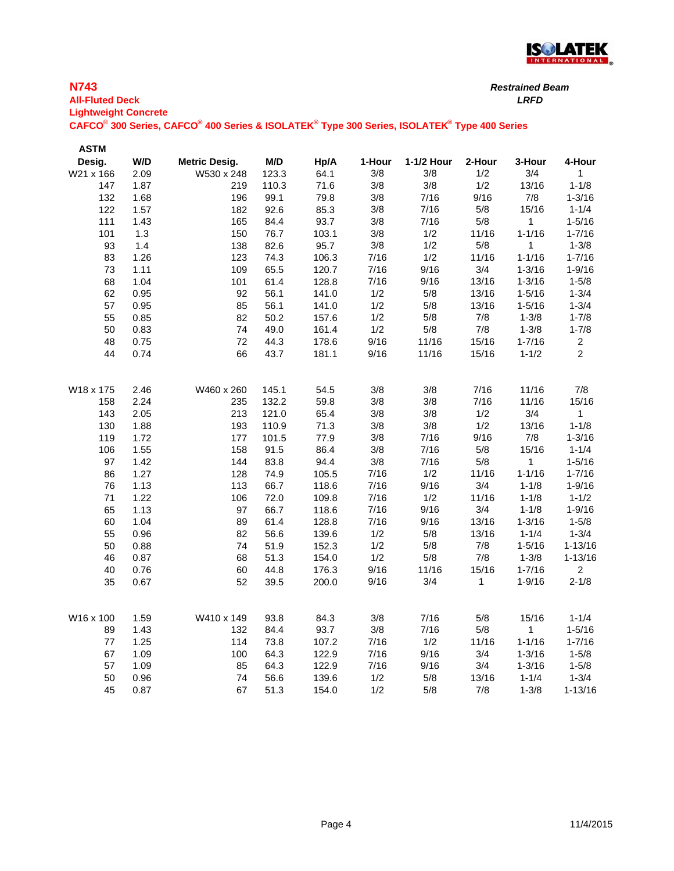

| <b>N743</b><br><b>Restrained Beam</b><br><b>All-Fluted Deck</b><br><b>Lightweight Concrete</b><br>CAFCO® 300 Series, CAFCO® 400 Series & ISOLATEK® Type 300 Series, ISOLATEK® Type 400 Series |      |                      |       |       |        |            |        |            |            |
|-----------------------------------------------------------------------------------------------------------------------------------------------------------------------------------------------|------|----------------------|-------|-------|--------|------------|--------|------------|------------|
| <b>ASTM</b>                                                                                                                                                                                   |      |                      |       |       |        |            |        |            |            |
| Desig.                                                                                                                                                                                        | W/D  | <b>Metric Desig.</b> | M/D   | Hp/A  | 1-Hour | 1-1/2 Hour | 2-Hour | 3-Hour     | 4-Hour     |
| W21 x 166                                                                                                                                                                                     | 2.09 | W530 x 248           | 123.3 | 64.1  | 3/8    | 3/8        | 1/2    | 3/4        |            |
| 147                                                                                                                                                                                           | 1.87 | 219                  | 110.3 | 71.6  | 3/8    | 3/8        | 1/2    | 13/16      | $1 - 1/8$  |
| 132                                                                                                                                                                                           | 1.68 | 196                  | 99.1  | 79.8  | 3/8    | 7/16       | 9/16   | 7/8        | $1 - 3/16$ |
| 122                                                                                                                                                                                           | 1.57 | 182                  | 92.6  | 85.3  | 3/8    | 7/16       | 5/8    | 15/16      | $1 - 1/4$  |
| 111                                                                                                                                                                                           | 1.43 | 165                  | 84.4  | 93.7  | 3/8    | 7/16       | 5/8    |            | $1 - 5/16$ |
| 101                                                                                                                                                                                           | 1.3  | 150                  | 76.7  | 103.1 | 3/8    | 1/2        | 11/16  | $1 - 1/16$ | $1 - 7/16$ |
| 93                                                                                                                                                                                            | 1.4  | 138                  | 82.6  | 95.7  | 3/8    | 1/2        | 5/8    |            | $1 - 3/8$  |

83 1.26 123 74.3 106.3 7/16 1/2 11/16 1-1/16 1-7/16 73 1.11 109 65.5 120.7 7/16 9/16 3/4 1-3/16 1-9/16 68 1.04 101 61.4 128.8 7/16 9/16 13/16 1-3/16 1-5/8 62 0.95 92 56.1 141.0 1/2 5/8 13/16 1-5/16 1-3/4 57 0.95 85 56.1 141.0 1/2 5/8 13/16 1-5/16 1-3/4 55 0.85 82 50.2 157.6 1/2 5/8 7/8 1-3/8 1-7/8 50 0.83 74 49.0 161.4 1/2 5/8 7/8 1-3/8 1-7/8 48 0.75 72 44.3 178.6 9/16 11/16 15/16 1-7/16 2 44 0.74 66 43.7 181.1 9/16 11/16 15/16 1-1/2 2

W18 x 175 2.46 W460 x 260 145.1 54.5 3/8 3/8 7/16 11/16 7/8

158 2.24 235 132.2 59.8 3/8 3/8 7/16 11/16 15/16 143 2.05 213 121.0 65.4 3/8 3/8 1/2 3/4 1 130 1.88 193 110.9 71.3 3/8 3/8 1/2 13/16 1-1/8 119 1.72 177 101.5 77.9 3/8 7/16 9/16 7/8 1-3/16 106 1.55 158 91.5 86.4 3/8 7/16 5/8 15/16 1-1/4 97 1.42 144 83.8 94.4 3/8 7/16 5/8 1 1-5/16 86 1.27 128 74.9 105.5 7/16 1/2 11/16 1-1/16 1-7/16 76 1.13 113 66.7 118.6 7/16 9/16 3/4 1-1/8 1-9/16 71 1.22 106 72.0 109.8 7/16 1/2 11/16 1-1/8 1-1/2 65 1.13 97 66.7 118.6 7/16 9/16 3/4 1-1/8 1-9/16 60 1.04 89 61.4 128.8 7/16 9/16 13/16 1-3/16 1-5/8 55 0.96 82 56.6 139.6 1/2 5/8 13/16 1-1/4 1-3/4 50 0.88 74 51.9 152.3 1/2 5/8 7/8 1-5/16 1-13/16 46 0.87 68 51.3 154.0 1/2 5/8 7/8 1-3/8 1-13/16 40 0.76 60 44.8 176.3 9/16 11/16 15/16 1-7/16 2 35 0.67 52 39.5 200.0 9/16 3/4 1 1-9/16 2-1/8

W16 x 100 1.59 W410 x 149 93.8 84.3 3/8 7/16 5/8 15/16 1-1/4 89 1.43 132 84.4 93.7 3/8 7/16 5/8 1 1-5/16 77 1.25 114 73.8 107.2 7/16 1/2 11/16 1-1/16 1-7/16 67 1.09 100 64.3 122.9 7/16 9/16 3/4 1-3/16 1-5/8 57 1.09 85 64.3 122.9 7/16 9/16 3/4 1-3/16 1-5/8 50 0.96 74 56.6 139.6 1/2 5/8 13/16 1-1/4 1-3/4 45 0.87 67 51.3 154.0 1/2 5/8 7/8 1-3/8 1-13/16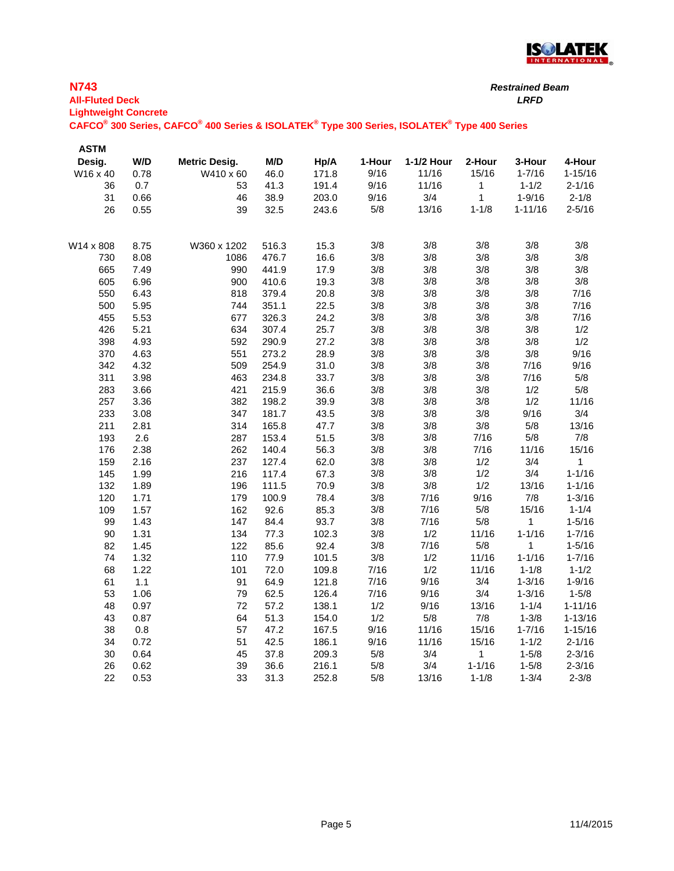

*Restrained Beam*

| <b>All-Fluted Deck</b><br><b>Lightweight Concrete</b> |              | CAFCO <sup>®</sup> 300 Series, CAFCO <sup>®</sup> 400 Series & ISOLATEK <sup>®</sup> Type 300 Series, ISOLATEK <sup>®</sup> Type 400 Series |              |                |             |            |                | <b>LRFD</b>             |                         |
|-------------------------------------------------------|--------------|---------------------------------------------------------------------------------------------------------------------------------------------|--------------|----------------|-------------|------------|----------------|-------------------------|-------------------------|
| <b>ASTM</b>                                           |              |                                                                                                                                             |              |                |             |            |                |                         |                         |
| Desig.                                                | W/D          | <b>Metric Desig.</b>                                                                                                                        | M/D          | Hp/A           | 1-Hour      | 1-1/2 Hour | 2-Hour         | 3-Hour                  | 4-Hour                  |
| W16 x 40                                              | 0.78         | W410 x 60                                                                                                                                   | 46.0         | 171.8          | 9/16        | 11/16      | 15/16          | $1 - 7/16$              | $1 - 15/16$             |
| 36                                                    | 0.7          | 53                                                                                                                                          | 41.3         | 191.4          | 9/16        | 11/16      | 1              | $1 - 1/2$               | $2 - 1/16$              |
| 31                                                    | 0.66         | 46                                                                                                                                          | 38.9         | 203.0          | 9/16        | 3/4        | $\mathbf{1}$   | $1 - 9/16$              | $2 - 1/8$               |
| 26                                                    | 0.55         | 39                                                                                                                                          | 32.5         | 243.6          | 5/8         | 13/16      | $1 - 1/8$      | $1 - 11/16$             | $2 - 5/16$              |
| W14 x 808                                             | 8.75         | W360 x 1202                                                                                                                                 | 516.3        | 15.3           | 3/8         | 3/8        | 3/8            | 3/8                     | 3/8                     |
| 730                                                   | 8.08         | 1086                                                                                                                                        | 476.7        | 16.6           | 3/8         | 3/8        | 3/8            | 3/8                     | 3/8                     |
| 665                                                   | 7.49         | 990                                                                                                                                         | 441.9        | 17.9           | 3/8         | $3/8$      | 3/8            | 3/8                     | 3/8                     |
| 605                                                   | 6.96         | 900                                                                                                                                         | 410.6        | 19.3           | 3/8         | $3/8$      | 3/8            | 3/8                     | 3/8                     |
| 550                                                   | 6.43         | 818                                                                                                                                         | 379.4        | 20.8           | 3/8         | 3/8        | 3/8            | 3/8                     | 7/16                    |
| 500                                                   | 5.95         | 744                                                                                                                                         | 351.1        | 22.5           | 3/8         | $3/8$      | 3/8            | 3/8                     | 7/16                    |
| 455                                                   | 5.53         | 677                                                                                                                                         | 326.3        | 24.2           | 3/8         | $3/8$      | 3/8            | 3/8                     | 7/16                    |
| 426                                                   | 5.21         | 634                                                                                                                                         | 307.4        | 25.7           | 3/8         | $3/8$      | 3/8            | 3/8                     | 1/2                     |
| 398                                                   | 4.93         | 592                                                                                                                                         | 290.9        | 27.2           | 3/8         | $3/8$      | 3/8            | 3/8                     | 1/2                     |
| 370                                                   | 4.63         | 551                                                                                                                                         | 273.2        | 28.9           | 3/8         | $3/8$      | 3/8            | 3/8                     | 9/16                    |
| 342                                                   | 4.32         | 509                                                                                                                                         | 254.9        | 31.0           | 3/8         | 3/8        | 3/8            | 7/16                    | 9/16                    |
| 311                                                   | 3.98         | 463                                                                                                                                         | 234.8        | 33.7           | 3/8         | $3/8$      | 3/8            | 7/16                    | 5/8                     |
| 283                                                   | 3.66         | 421                                                                                                                                         | 215.9        | 36.6           | 3/8         | 3/8        | 3/8            | 1/2                     | 5/8                     |
| 257                                                   | 3.36         | 382                                                                                                                                         | 198.2        | 39.9           | 3/8         | $3/8$      | 3/8            | 1/2                     | 11/16                   |
| 233                                                   | 3.08         | 347                                                                                                                                         | 181.7        | 43.5           | 3/8         | $3/8$      | 3/8            | 9/16                    | 3/4                     |
| 211                                                   | 2.81         | 314                                                                                                                                         | 165.8        | 47.7           | 3/8         | $3/8$      | 3/8            | 5/8                     | 13/16                   |
| 193                                                   | 2.6          | 287                                                                                                                                         | 153.4        | 51.5           | 3/8         | $3/8$      | 7/16           | 5/8                     | 7/8                     |
| 176                                                   | 2.38         | 262                                                                                                                                         | 140.4        | 56.3           | 3/8         | $3/8$      | 7/16           | 11/16                   | 15/16                   |
| 159                                                   | 2.16         | 237                                                                                                                                         | 127.4        | 62.0           | 3/8         | $3/8$      | 1/2            | 3/4                     | 1                       |
| 145                                                   | 1.99         | 216                                                                                                                                         | 117.4        | 67.3           | 3/8         | 3/8        | 1/2            | 3/4                     | $1 - 1/16$              |
| 132                                                   | 1.89         | 196                                                                                                                                         | 111.5        | 70.9           | 3/8         | 3/8        | 1/2            | 13/16                   | $1 - 1/16$              |
| 120                                                   | 1.71         | 179                                                                                                                                         | 100.9        | 78.4           | 3/8         | 7/16       | 9/16           | 7/8                     | $1 - 3/16$              |
| 109                                                   | 1.57         | 162                                                                                                                                         | 92.6         | 85.3           | 3/8         | 7/16       | 5/8            | 15/16                   | $1 - 1/4$               |
| 99                                                    | 1.43         | 147                                                                                                                                         | 84.4         | 93.7           | 3/8         | 7/16       | 5/8            | $\mathbf{1}$            | $1 - 5/16$              |
| 90                                                    | 1.31         | 134                                                                                                                                         | 77.3         | 102.3          | 3/8         | 1/2        | 11/16          | $1 - 1/16$              | $1 - 7/16$              |
| 82                                                    | 1.45         | 122                                                                                                                                         | 85.6         | 92.4           | 3/8         | 7/16       | 5/8            | 1                       | $1 - 5/16$              |
| 74<br>68                                              | 1.32<br>1.22 | 110<br>101                                                                                                                                  | 77.9<br>72.0 | 101.5<br>109.8 | 3/8<br>7/16 | 1/2<br>1/2 | 11/16<br>11/16 | $1 - 1/16$<br>$1 - 1/8$ | $1 - 7/16$<br>$1 - 1/2$ |
| 61                                                    | 1.1          | 91                                                                                                                                          | 64.9         | 121.8          | 7/16        | 9/16       | 3/4            | $1 - 3/16$              | $1 - 9/16$              |
|                                                       | 1.06         |                                                                                                                                             |              | 126.4          | 7/16        | 9/16       | 3/4            | $1 - 3/16$              | $1 - 5/8$               |
| 53<br>48                                              | 0.97         | 79<br>72                                                                                                                                    | 62.5<br>57.2 | 138.1          | 1/2         | 9/16       | 13/16          | $1 - 1/4$               | $1 - 11/16$             |
| 43                                                    | 0.87         | 64                                                                                                                                          | 51.3         | 154.0          | 1/2         | 5/8        | 7/8            | $1 - 3/8$               | $1 - 13/16$             |
| 38                                                    | 0.8          | 57                                                                                                                                          | 47.2         | 167.5          | 9/16        | 11/16      | 15/16          | $1 - 7/16$              | $1 - 15/16$             |
| 34                                                    | 0.72         | 51                                                                                                                                          | 42.5         | 186.1          | 9/16        | 11/16      | 15/16          | $1 - 1/2$               | $2 - 1/16$              |
| 30                                                    | 0.64         | 45                                                                                                                                          | 37.8         | 209.3          | 5/8         | 3/4        | $\mathbf{1}$   | $1 - 5/8$               | $2 - 3/16$              |
| 26                                                    | 0.62         | 39                                                                                                                                          | 36.6         | 216.1          | $5/8$       | 3/4        | $1 - 1/16$     | $1 - 5/8$               | $2 - 3/16$              |
| 22                                                    | 0.53         | 33                                                                                                                                          | 31.3         | 252.8          | $5/8$       | 13/16      | $1 - 1/8$      | $1 - 3/4$               | $2 - 3/8$               |
|                                                       |              |                                                                                                                                             |              |                |             |            |                |                         |                         |

**N743**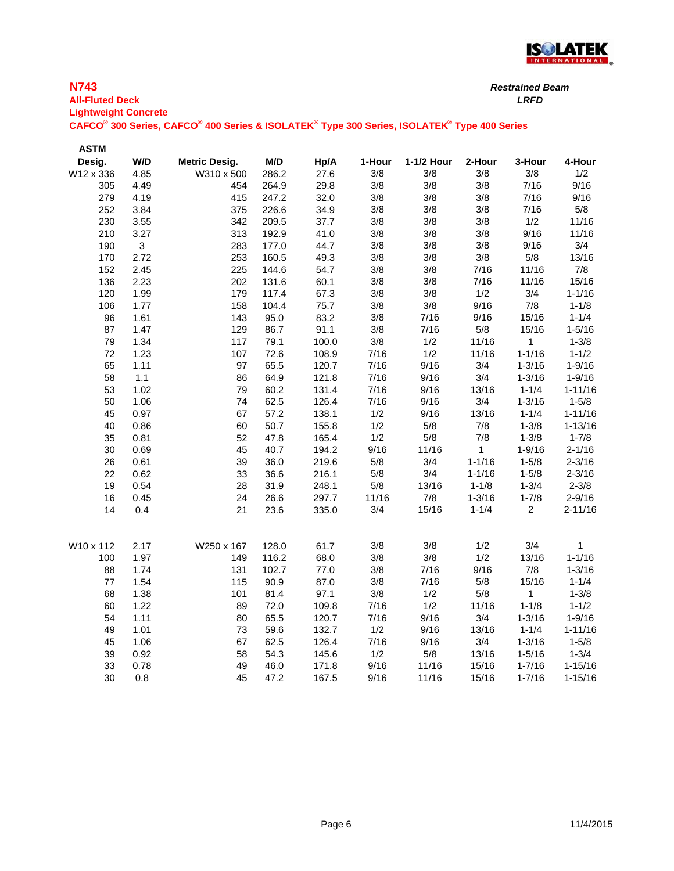

| <b>N743</b>                                                                                                                                 | <b>Restrained Beam</b> |
|---------------------------------------------------------------------------------------------------------------------------------------------|------------------------|
| <b>All-Fluted Deck</b>                                                                                                                      | LRFD                   |
| <b>Lightweight Concrete</b>                                                                                                                 |                        |
| CAFCO <sup>®</sup> 300 Series, CAFCO <sup>®</sup> 400 Series & ISOLATEK <sup>®</sup> Type 300 Series, ISOLATEK <sup>®</sup> Type 400 Series |                        |

| <b>ASTM</b> |      |                      |       |       |        |            |              |                |             |
|-------------|------|----------------------|-------|-------|--------|------------|--------------|----------------|-------------|
| Desig.      | W/D  | <b>Metric Desig.</b> | M/D   | Hp/A  | 1-Hour | 1-1/2 Hour | 2-Hour       | 3-Hour         | 4-Hour      |
| W12 x 336   | 4.85 | W310 x 500           | 286.2 | 27.6  | 3/8    | 3/8        | 3/8          | 3/8            | 1/2         |
| 305         | 4.49 | 454                  | 264.9 | 29.8  | 3/8    | 3/8        | 3/8          | 7/16           | 9/16        |
| 279         | 4.19 | 415                  | 247.2 | 32.0  | 3/8    | 3/8        | $3/8$        | 7/16           | 9/16        |
| 252         | 3.84 | 375                  | 226.6 | 34.9  | 3/8    | 3/8        | $3/8$        | 7/16           | 5/8         |
| 230         | 3.55 | 342                  | 209.5 | 37.7  | 3/8    | 3/8        | 3/8          | 1/2            | 11/16       |
| 210         | 3.27 | 313                  | 192.9 | 41.0  | 3/8    | 3/8        | $3/8$        | 9/16           | 11/16       |
| 190         | 3    | 283                  | 177.0 | 44.7  | 3/8    | 3/8        | $3/8$        | 9/16           | 3/4         |
| 170         | 2.72 | 253                  | 160.5 | 49.3  | 3/8    | 3/8        | 3/8          | $5/8$          | 13/16       |
| 152         | 2.45 | 225                  | 144.6 | 54.7  | 3/8    | 3/8        | 7/16         | 11/16          | 7/8         |
| 136         | 2.23 | 202                  | 131.6 | 60.1  | 3/8    | $3/8$      | 7/16         | 11/16          | 15/16       |
| 120         | 1.99 | 179                  | 117.4 | 67.3  | 3/8    | 3/8        | 1/2          | 3/4            | $1 - 1/16$  |
| 106         | 1.77 | 158                  | 104.4 | 75.7  | 3/8    | 3/8        | 9/16         | 7/8            | $1 - 1/8$   |
| 96          | 1.61 | 143                  | 95.0  | 83.2  | 3/8    | 7/16       | 9/16         | 15/16          | $1 - 1/4$   |
| 87          | 1.47 | 129                  | 86.7  | 91.1  | 3/8    | 7/16       | $5/8$        | 15/16          | $1 - 5/16$  |
| 79          | 1.34 | 117                  | 79.1  | 100.0 | 3/8    | 1/2        | 11/16        | 1              | $1 - 3/8$   |
| 72          | 1.23 | 107                  | 72.6  | 108.9 | 7/16   | 1/2        | 11/16        | $1 - 1/16$     | $1 - 1/2$   |
| 65          | 1.11 | 97                   | 65.5  | 120.7 | 7/16   | 9/16       | 3/4          | $1 - 3/16$     | $1 - 9/16$  |
| 58          | 1.1  | 86                   | 64.9  | 121.8 | 7/16   | 9/16       | 3/4          | $1 - 3/16$     | $1 - 9/16$  |
| 53          | 1.02 | 79                   | 60.2  | 131.4 | 7/16   | 9/16       | 13/16        | $1 - 1/4$      | $1 - 11/16$ |
| 50          | 1.06 | 74                   | 62.5  | 126.4 | 7/16   | 9/16       | 3/4          | $1 - 3/16$     | $1 - 5/8$   |
| 45          | 0.97 | 67                   | 57.2  | 138.1 | 1/2    | 9/16       | 13/16        | $1 - 1/4$      | $1 - 11/16$ |
| 40          | 0.86 | 60                   | 50.7  | 155.8 | 1/2    | $5/8$      | 7/8          | $1 - 3/8$      | $1 - 13/16$ |
| 35          | 0.81 | 52                   | 47.8  | 165.4 | 1/2    | 5/8        | 7/8          | $1 - 3/8$      | $1 - 7/8$   |
| 30          | 0.69 | 45                   | 40.7  | 194.2 | 9/16   | 11/16      | $\mathbf{1}$ | $1 - 9/16$     | $2 - 1/16$  |
| 26          | 0.61 | 39                   | 36.0  | 219.6 | $5/8$  | 3/4        | $1 - 1/16$   | $1 - 5/8$      | $2 - 3/16$  |
| 22          | 0.62 | 33                   | 36.6  | 216.1 | $5/8$  | 3/4        | $1 - 1/16$   | $1 - 5/8$      | $2 - 3/16$  |
| 19          | 0.54 | 28                   | 31.9  | 248.1 | 5/8    | 13/16      | $1 - 1/8$    | $1 - 3/4$      | $2 - 3/8$   |
| 16          | 0.45 | 24                   | 26.6  | 297.7 | 11/16  | $7/8$      | $1 - 3/16$   | $1 - 7/8$      | $2 - 9/16$  |
| 14          | 0.4  | 21                   | 23.6  | 335.0 | 3/4    | 15/16      | $1 - 1/4$    | $\overline{2}$ | $2 - 11/16$ |
| W10 x 112   | 2.17 | W250 x 167           | 128.0 | 61.7  | 3/8    | 3/8        | 1/2          | 3/4            | 1           |
| 100         | 1.97 | 149                  | 116.2 | 68.0  | 3/8    | 3/8        | 1/2          | 13/16          | $1 - 1/16$  |
| 88          | 1.74 | 131                  | 102.7 | 77.0  | 3/8    | 7/16       | 9/16         | 7/8            | $1 - 3/16$  |
| 77          | 1.54 | 115                  | 90.9  | 87.0  | 3/8    | 7/16       | $5/8$        | 15/16          | $1 - 1/4$   |
| 68          | 1.38 | 101                  | 81.4  | 97.1  | 3/8    | 1/2        | $5/8$        | 1              | $1 - 3/8$   |
| 60          | 1.22 | 89                   | 72.0  | 109.8 | 7/16   | 1/2        | 11/16        | $1 - 1/8$      | $1 - 1/2$   |
| 54          | 1.11 | 80                   | 65.5  | 120.7 | 7/16   | 9/16       | 3/4          | $1 - 3/16$     | $1 - 9/16$  |
| 49          | 1.01 | 73                   | 59.6  | 132.7 | 1/2    | 9/16       | 13/16        | $1 - 1/4$      | $1 - 11/16$ |
| 45          | 1.06 | 67                   | 62.5  | 126.4 | 7/16   | 9/16       | 3/4          | $1 - 3/16$     | $1 - 5/8$   |
| 39          | 0.92 | 58                   | 54.3  | 145.6 | 1/2    | 5/8        | 13/16        | $1 - 5/16$     | $1 - 3/4$   |
| 33          | 0.78 | 49                   | 46.0  | 171.8 | 9/16   | 11/16      | 15/16        | $1 - 7/16$     | $1 - 15/16$ |
| 30          | 0.8  | 45                   | 47.2  | 167.5 | 9/16   | 11/16      | 15/16        | $1 - 7/16$     | $1 - 15/16$ |